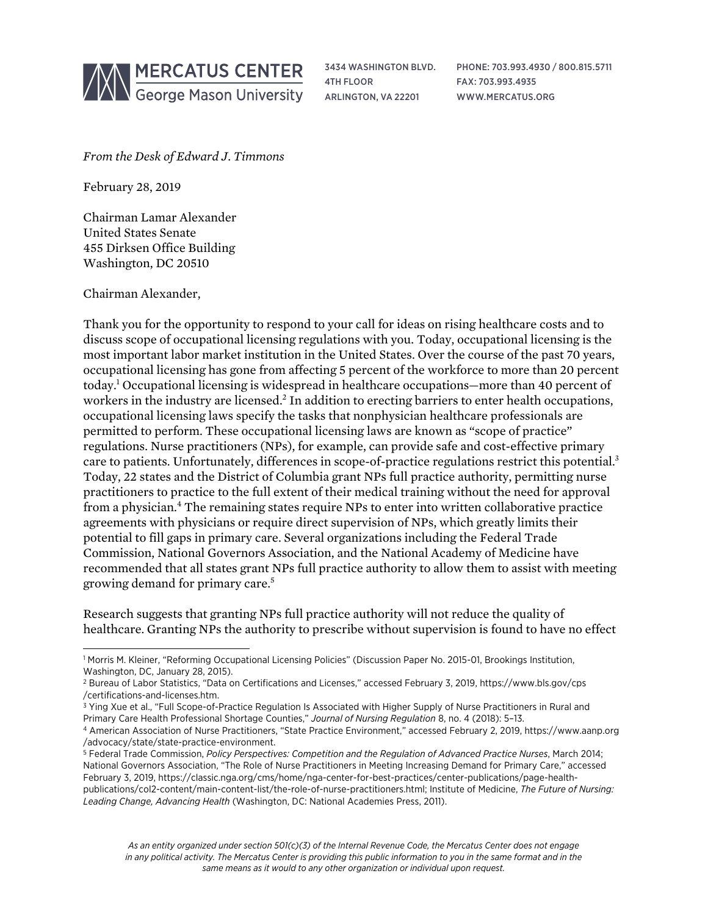

3434 WASHINGTON BLVD. 4TH FLOOR ARLINGTON, VA 22201

PHONE: 703.993.4930 / 800.815.5711 FAX: 703.993.4935 WWW.MERCATUS.ORG

*From the Desk of Edward J. Timmons*

February 28, 2019

Chairman Lamar Alexander United States Senate 455 Dirksen Office Building Washington, DC 20510

Chairman Alexander,

Thank you for the opportunity to respond to your call for ideas on rising healthcare costs and to discuss scope of occupational licensing regulations with you. Today, occupational licensing is the most important labor market institution in the United States. Over the course of the past 70 years, occupational licensing has gone from affecting 5 percent of the workforce to more than 20 percent today.1 Occupational licensing is widespread in healthcare occupations—more than 40 percent of workers in the industry are licensed.<sup>2</sup> In addition to erecting barriers to enter health occupations, occupational licensing laws specify the tasks that nonphysician healthcare professionals are permitted to perform. These occupational licensing laws are known as "scope of practice" regulations. Nurse practitioners (NPs), for example, can provide safe and cost-effective primary care to patients. Unfortunately, differences in scope-of-practice regulations restrict this potential.<sup>3</sup> Today, 22 states and the District of Columbia grant NPs full practice authority, permitting nurse practitioners to practice to the full extent of their medical training without the need for approval from a physician.4 The remaining states require NPs to enter into written collaborative practice agreements with physicians or require direct supervision of NPs, which greatly limits their potential to fill gaps in primary care. Several organizations including the Federal Trade Commission, National Governors Association, and the National Academy of Medicine have recommended that all states grant NPs full practice authority to allow them to assist with meeting growing demand for primary care.5

Research suggests that granting NPs full practice authority will not reduce the quality of healthcare. Granting NPs the authority to prescribe without supervision is found to have no effect

l <sup>1</sup> Morris M. Kleiner, "Reforming Occupational Licensing Policies" (Discussion Paper No. 2015-01, Brookings Institution, Washington, DC, January 28, 2015).

<sup>2</sup> Bureau of Labor Statistics, "Data on Certifications and Licenses," accessed February 3, 2019, [https://www.bls.gov/cps](https://www.bls.gov/cps/certifications-and-licenses.htm) [/certifications-and-licenses.htm.](https://www.bls.gov/cps/certifications-and-licenses.htm)

<sup>&</sup>lt;sup>3</sup> Ying Xue et al., "Full Scope-of-Practice Regulation Is Associated with Higher Supply of Nurse Practitioners in Rural and Primary Care Health Professional Shortage Counties," *Journal of Nursing Regulation* 8, no. 4 (2018): 5–13.

<sup>4</sup> American Association of Nurse Practitioners, "State Practice Environment," accessed February 2, 2019, [https://www.aanp.org](https://www.aanp.org/advocacy/state/state-practice-environment) [/advocacy/state/state-practice-environment.](https://www.aanp.org/advocacy/state/state-practice-environment)

<sup>5</sup> Federal Trade Commission, *Policy Perspectives: Competition and the Regulation of Advanced Practice Nurses*, March 2014; National Governors Association, "The Role of Nurse Practitioners in Meeting Increasing Demand for Primary Care," accessed February 3, 2019, [https://classic.nga.org/cms/home/nga-center-for-best-practices/center-publications/page-health](https://classic.nga.org/cms/home/nga-center-for-best-practices/center-publications/page-health-publications/col2-content/main-content-list/the-role-of-nurse-practitioners.html)[publications/col2-content/main-content-list/the-role-of-nurse-practitioners.html;](https://classic.nga.org/cms/home/nga-center-for-best-practices/center-publications/page-health-publications/col2-content/main-content-list/the-role-of-nurse-practitioners.html) Institute of Medicine, *The Future of Nursing: Leading Change, Advancing Health* (Washington, DC: National Academies Press, 2011).